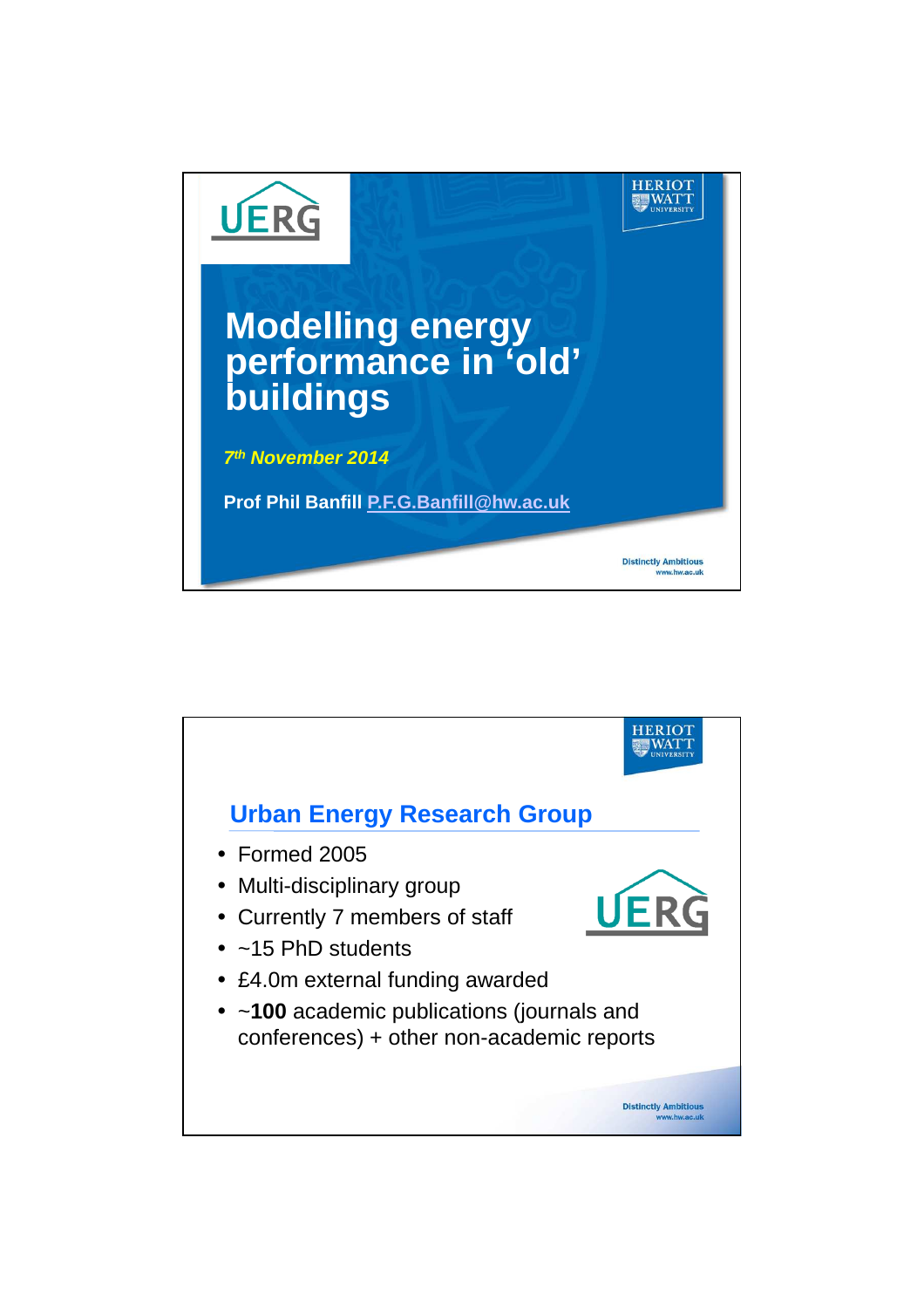

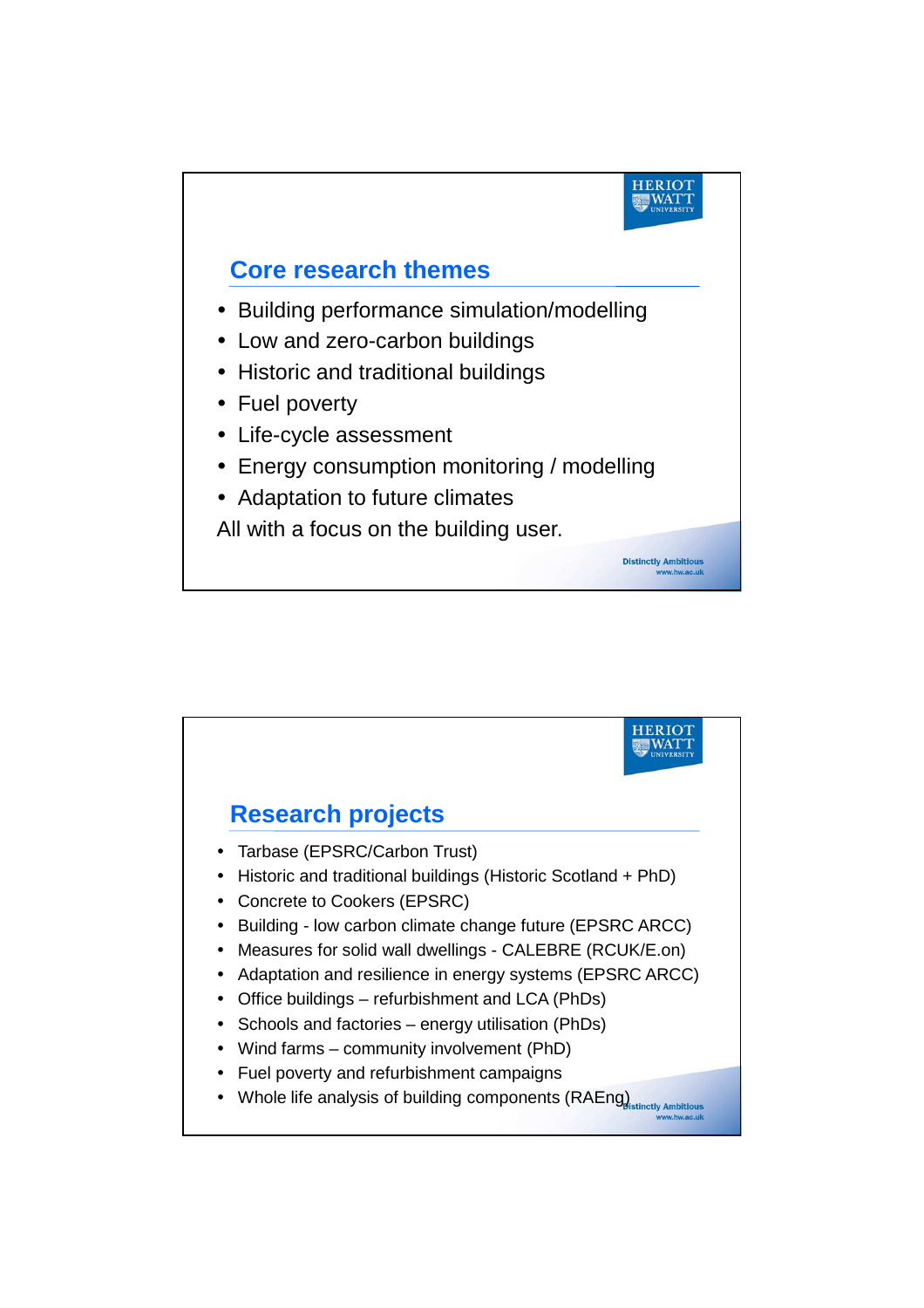

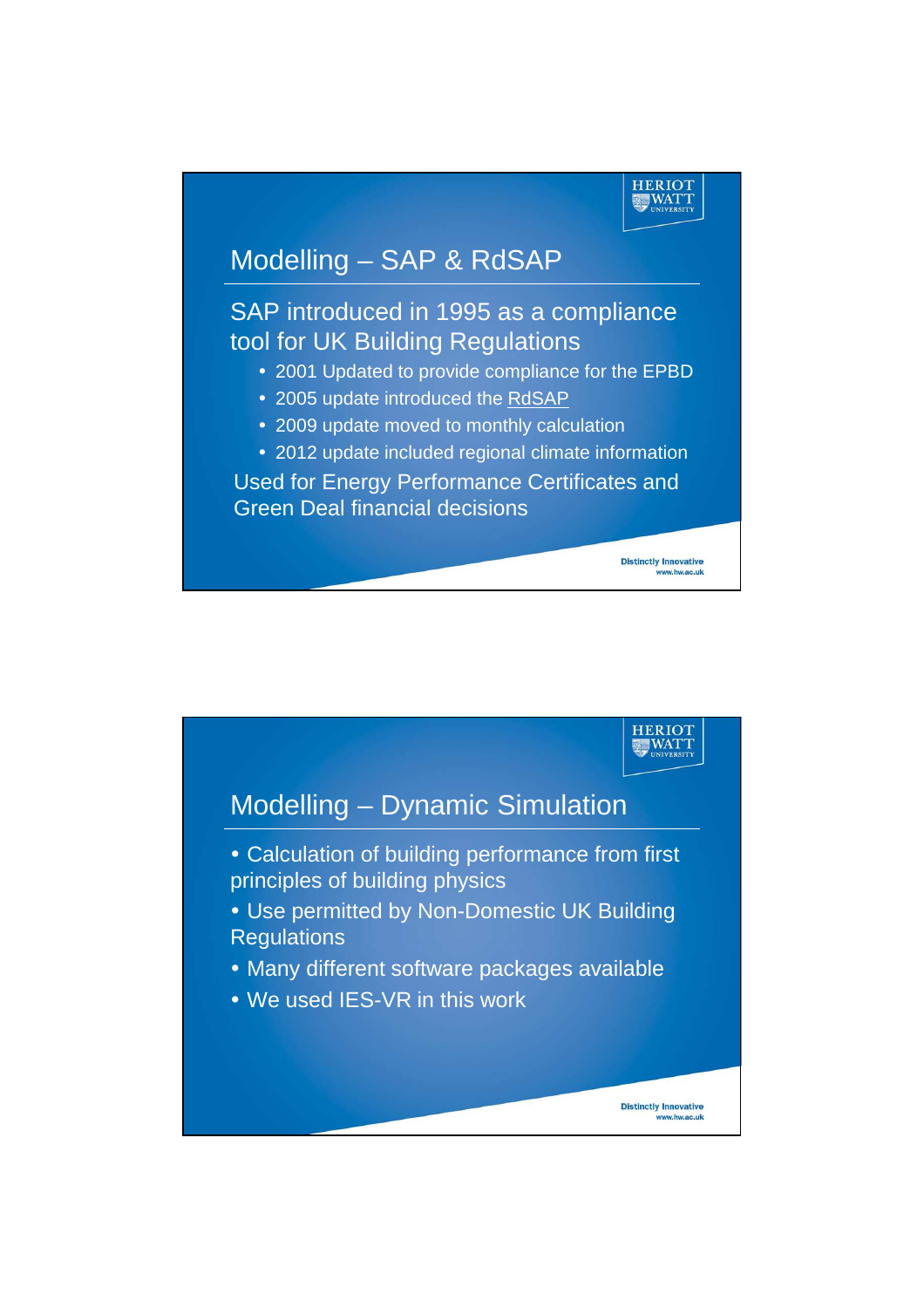

www.hw.ac.uk

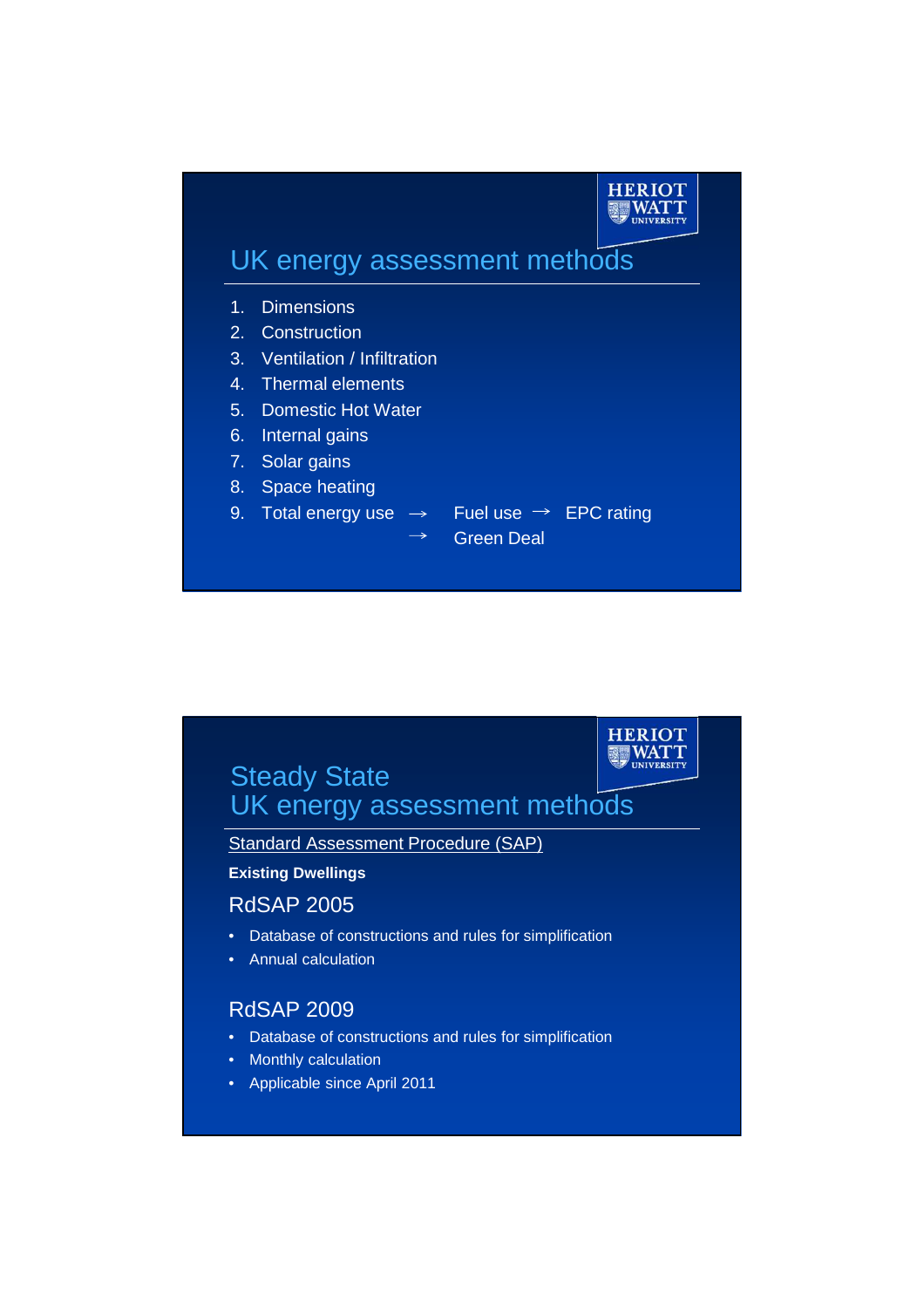



**HERIOT** 

Standard Assessment Procedure (SAP)

#### **Existing Dwellings**

### RdSAP 2005

- Database of constructions and rules for simplification
- Annual calculation

### RdSAP 2009

- Database of constructions and rules for simplification
- Monthly calculation
- Applicable since April 2011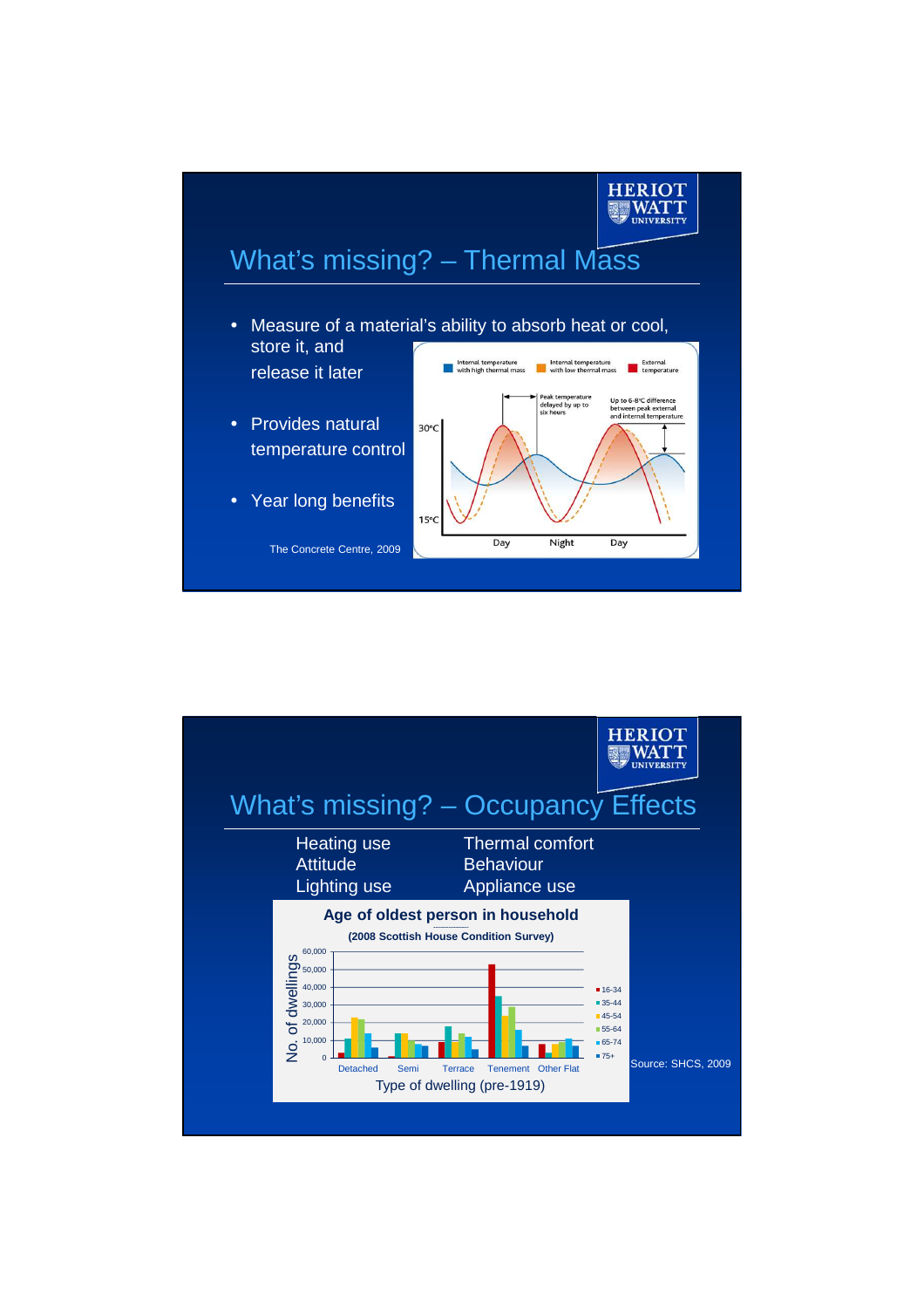

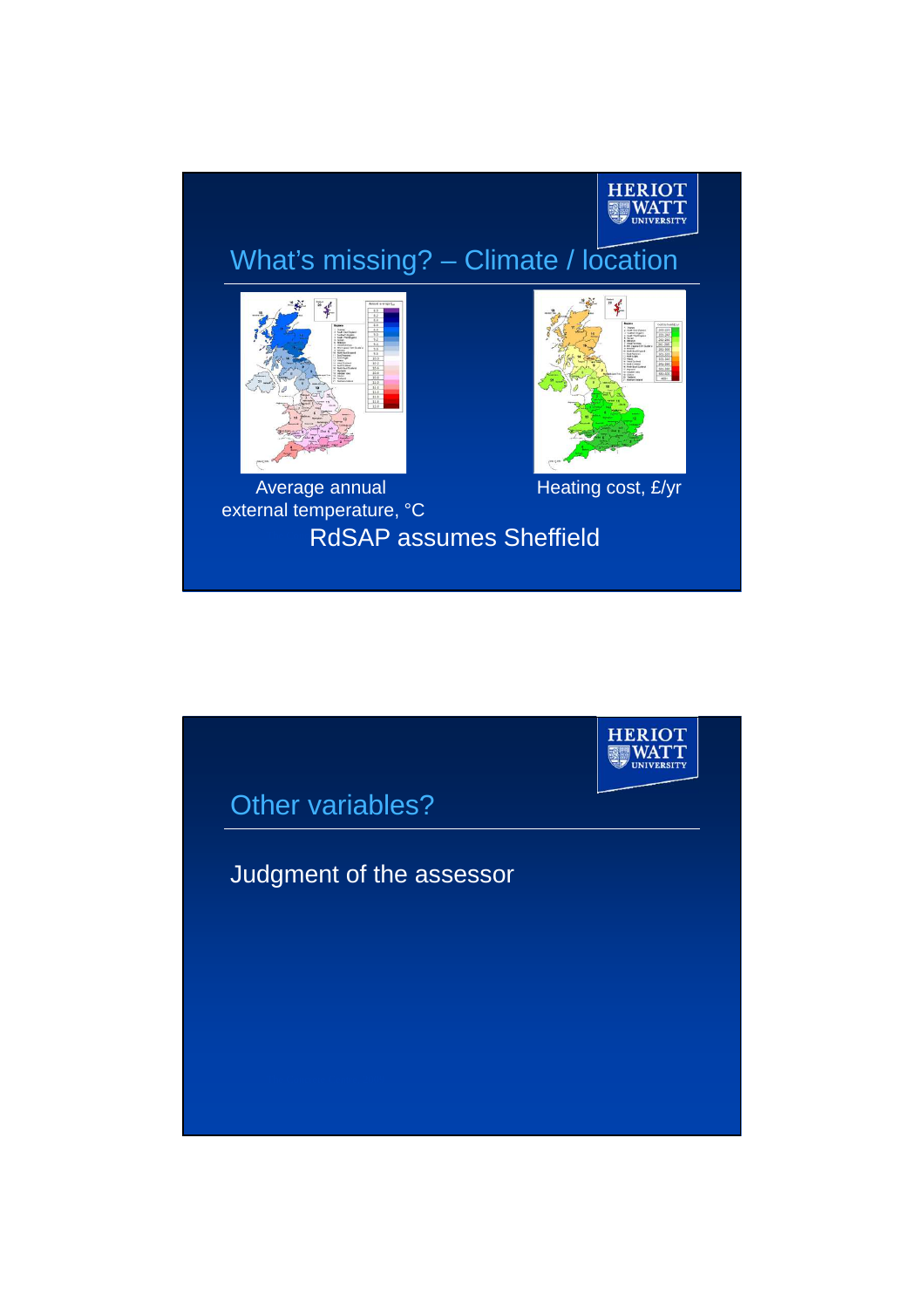

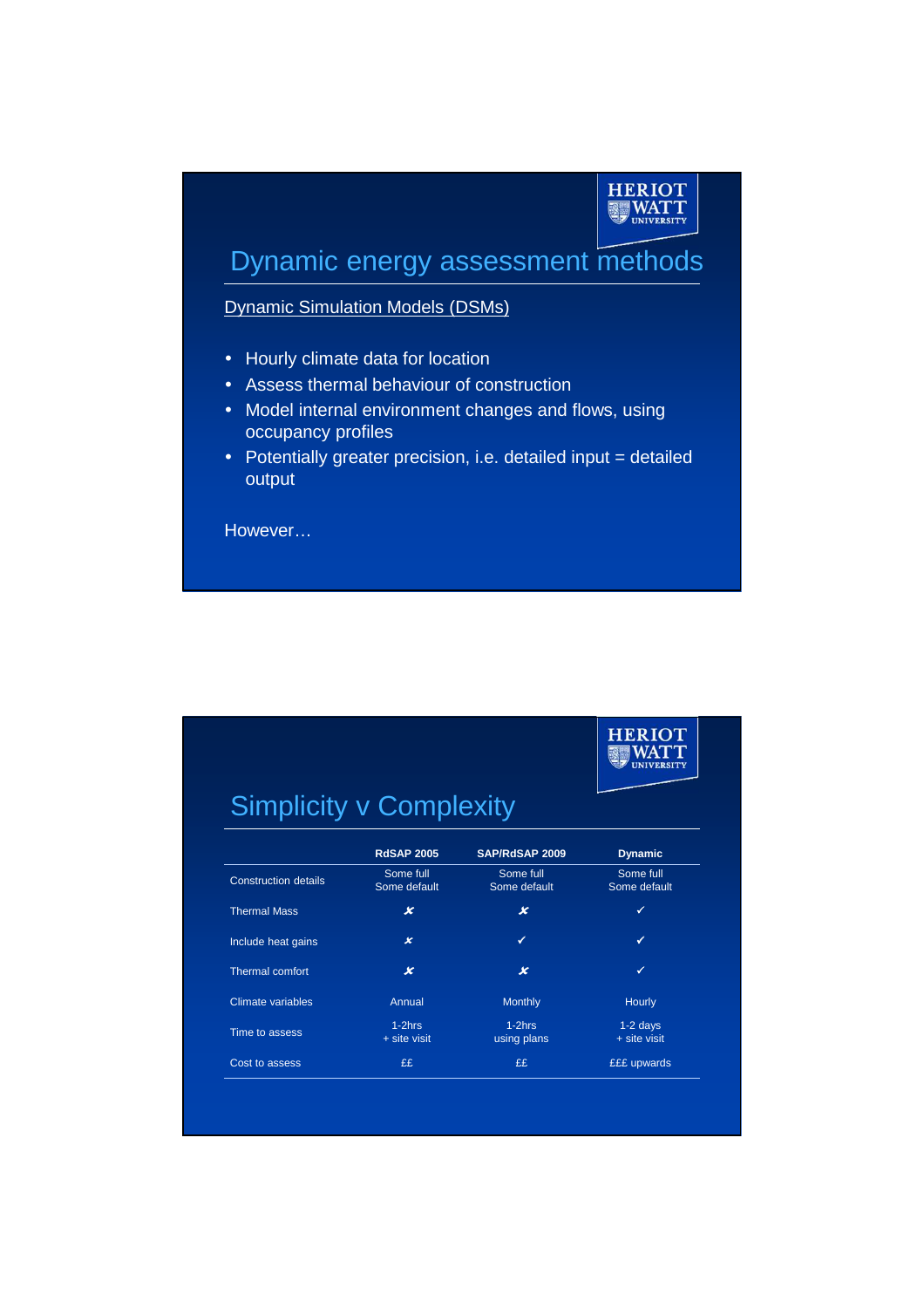### **HERIOT | WATT**

**HERIOT** WATT

### Dynamic energy assessment methods

Dynamic Simulation Models (DSMs)

- Hourly climate data for location
- Assess thermal behaviour of construction
- Model internal environment changes and flows, using occupancy profiles
- Potentially greater precision, i.e. detailed input = detailed output

However…

# Simplicity v Complexity

|                             | <b>RdSAP 2005</b>           | SAP/RdSAP 2009            | <b>Dynamic</b>               |
|-----------------------------|-----------------------------|---------------------------|------------------------------|
| <b>Construction details</b> | Some full<br>Some default   | Some full<br>Some default | Some full<br>Some default    |
| <b>Thermal Mass</b>         | x                           | x                         | ✓                            |
| Include heat gains          | $\boldsymbol{\mathsf{x}}$   | ✓                         | ✓                            |
| Thermal comfort             | x                           | x                         | ✓                            |
| Climate variables           | Annual                      | <b>Monthly</b>            | Hourly                       |
| Time to assess              | $1-2$ hrs<br>$+$ site visit | $1-2hrs$<br>using plans   | $1-2$ days<br>$+$ site visit |
| Cost to assess              | ££                          | ££                        | <b>EEE</b> upwards           |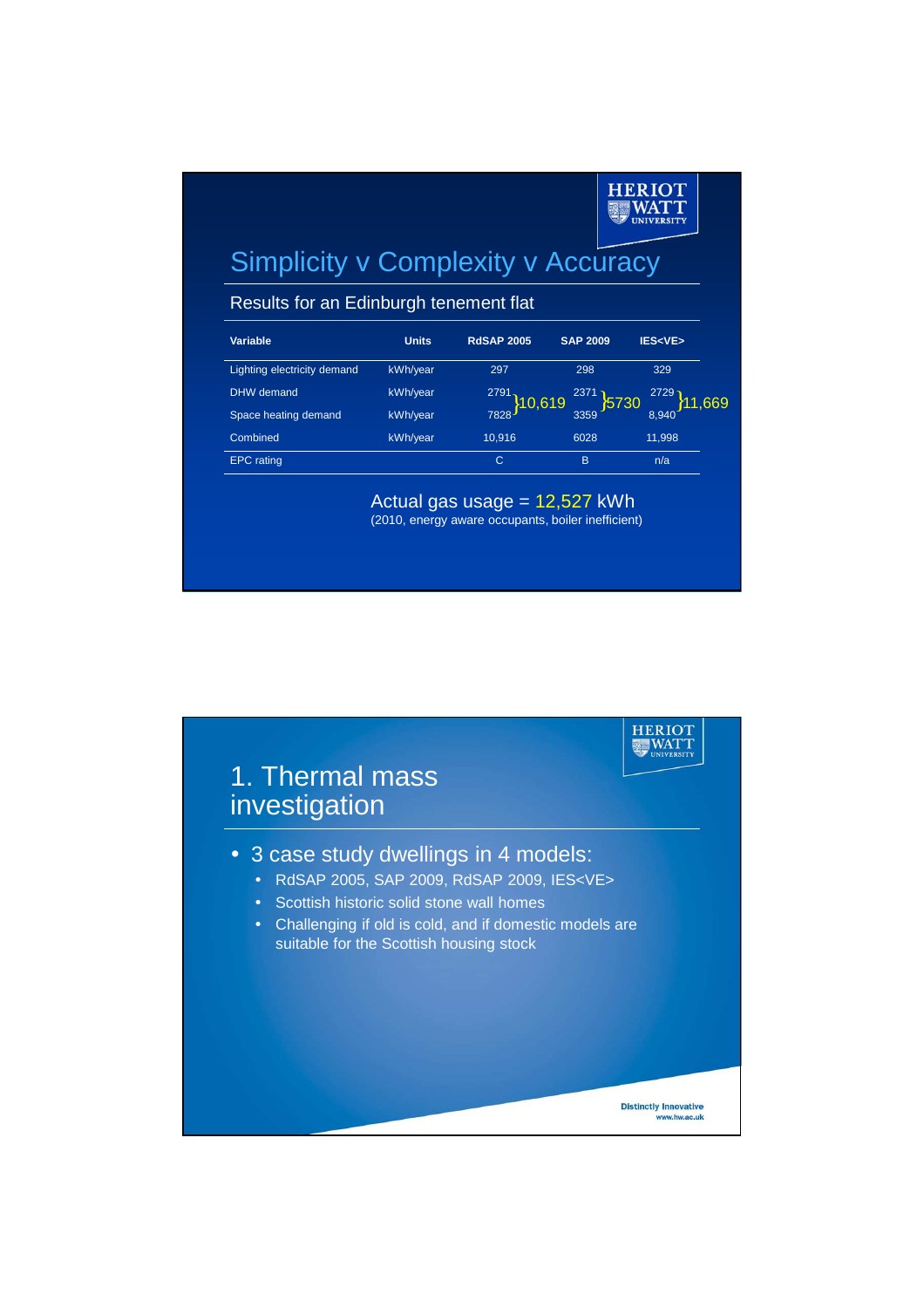#### **HERIOT | WATT INITVED CITY**

## Simplicity v Complexity v Accuracy

Results for an Edinburgh tenement flat

| Variable                    | <b>Units</b> | <b>RdSAP 2005</b>           | <b>SAP 2009</b> | <b>IES<ve></ve></b>                      |
|-----------------------------|--------------|-----------------------------|-----------------|------------------------------------------|
| Lighting electricity demand | kWh/year     | 297                         | 298             | 329                                      |
| <b>DHW</b> demand           | kWh/year     |                             | 2371            |                                          |
| Space heating demand        | kWh/year     | $\frac{2791}{7828}$ }10,619 | 3359 5730       | $\left[\frac{2729}{8,940}\right]$ 11,669 |
| Combined                    | kWh/year     | 10,916                      | 6028            | 11,998                                   |
| <b>EPC</b> rating           |              | C                           | B               | n/a                                      |

Actual gas usage = 12,527 kWh (2010, energy aware occupants, boiler inefficient)

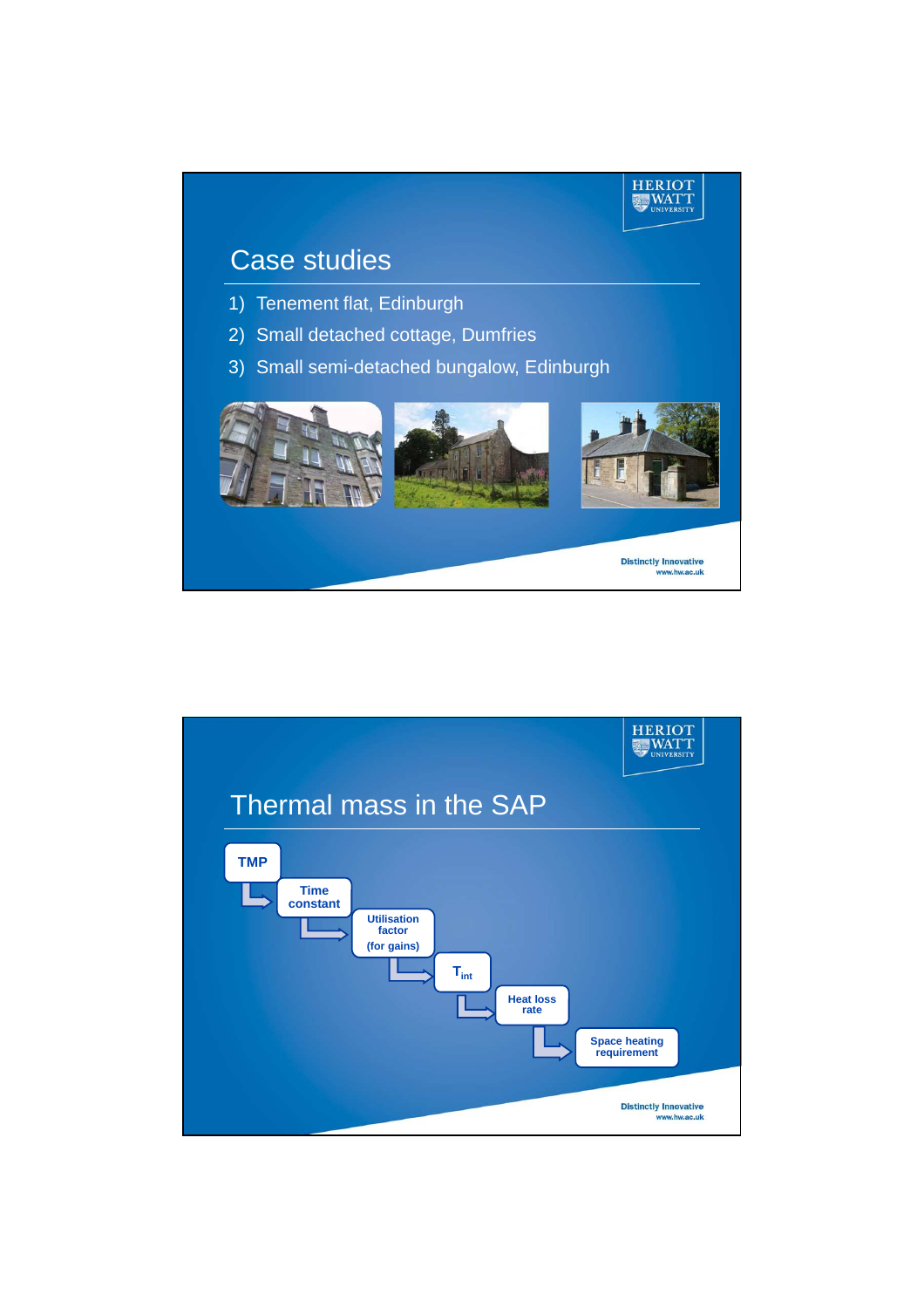

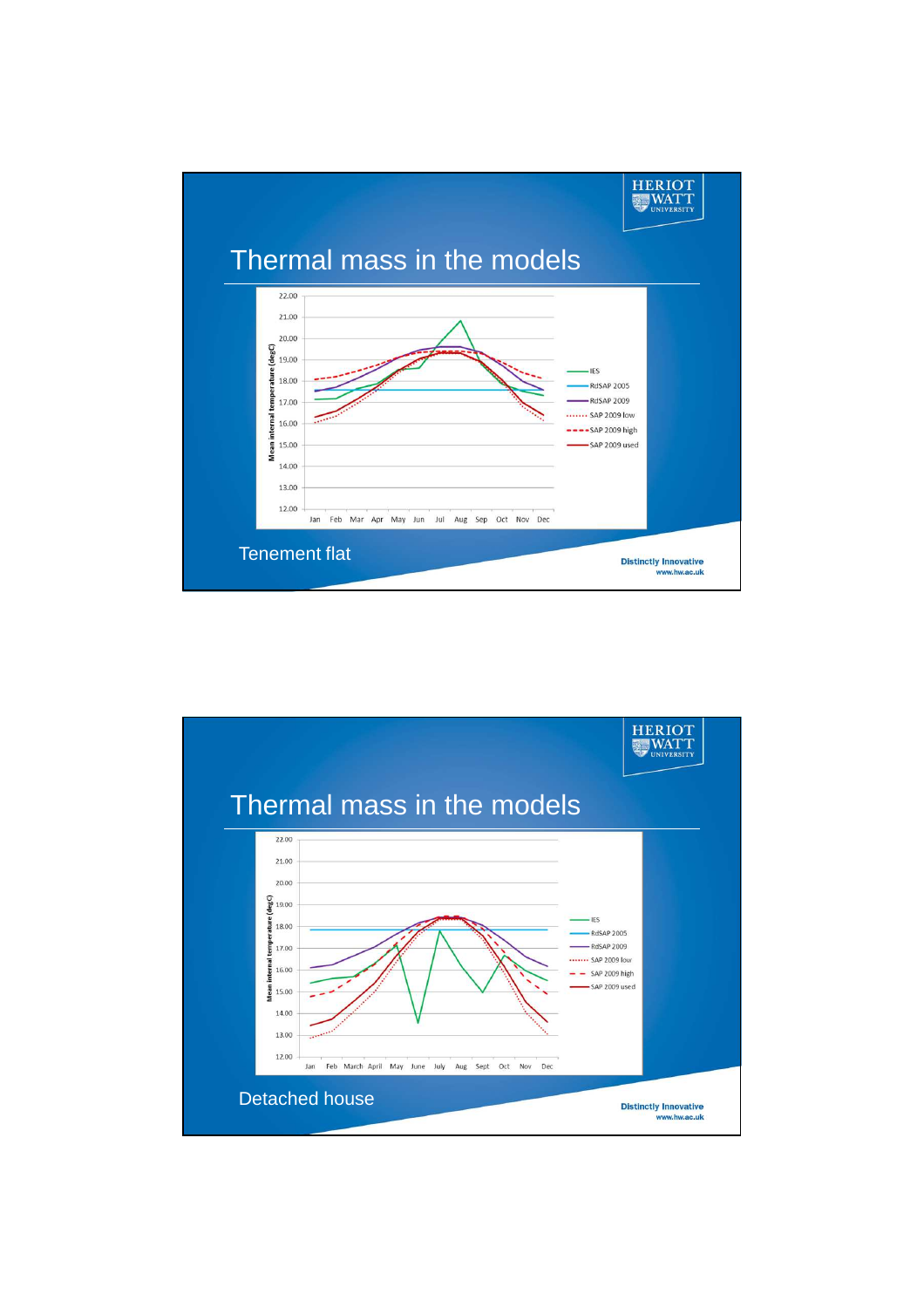

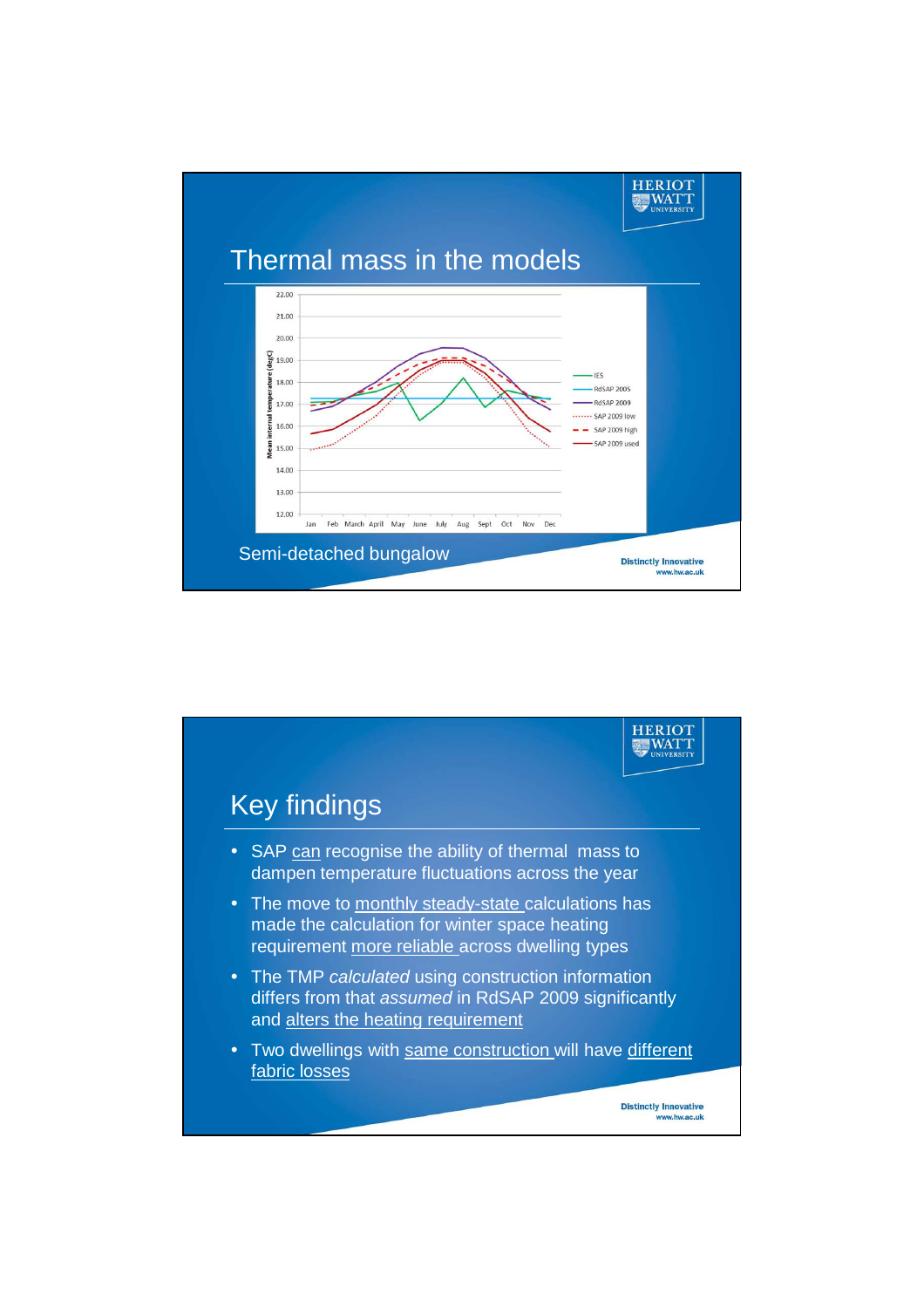

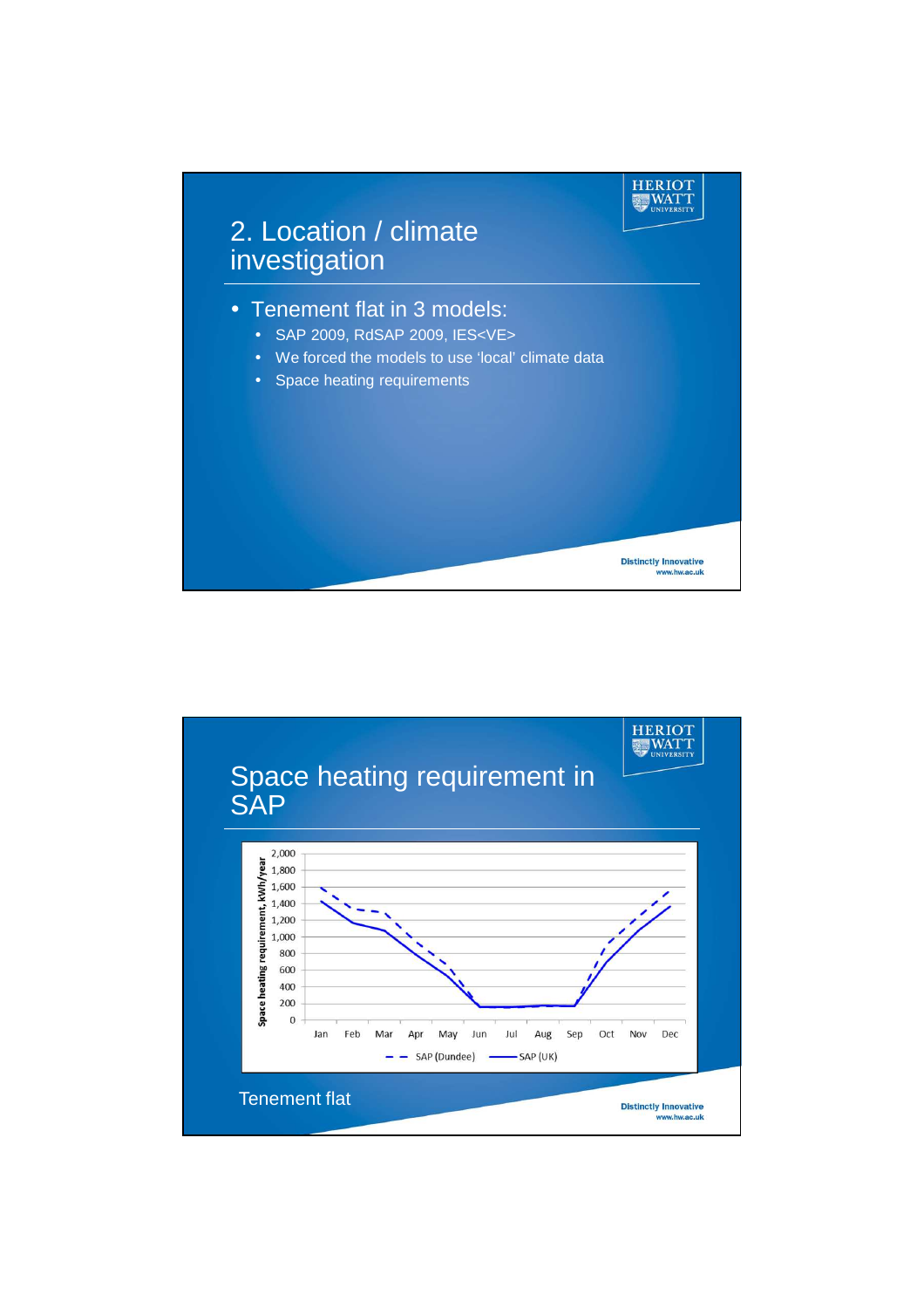

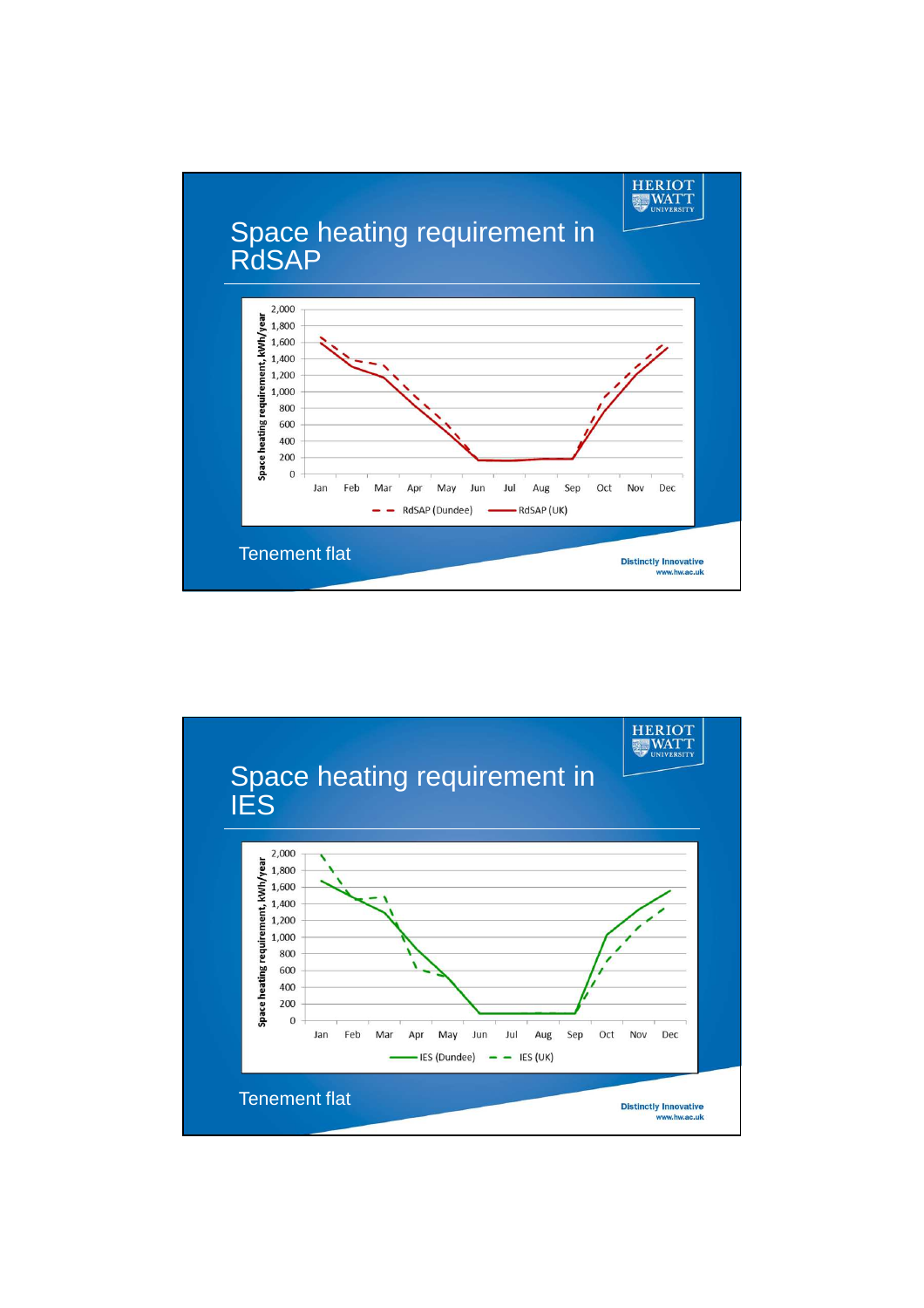

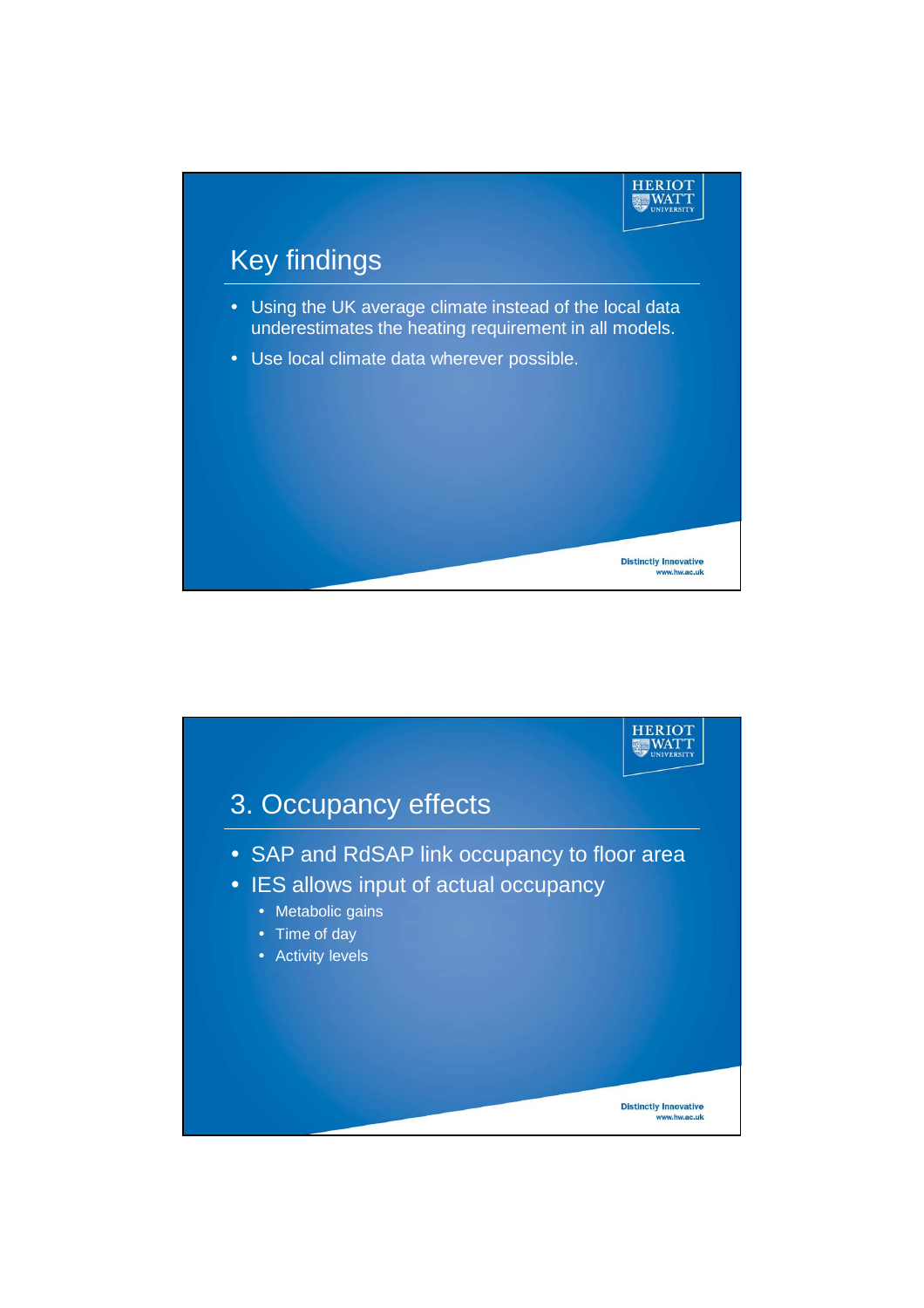

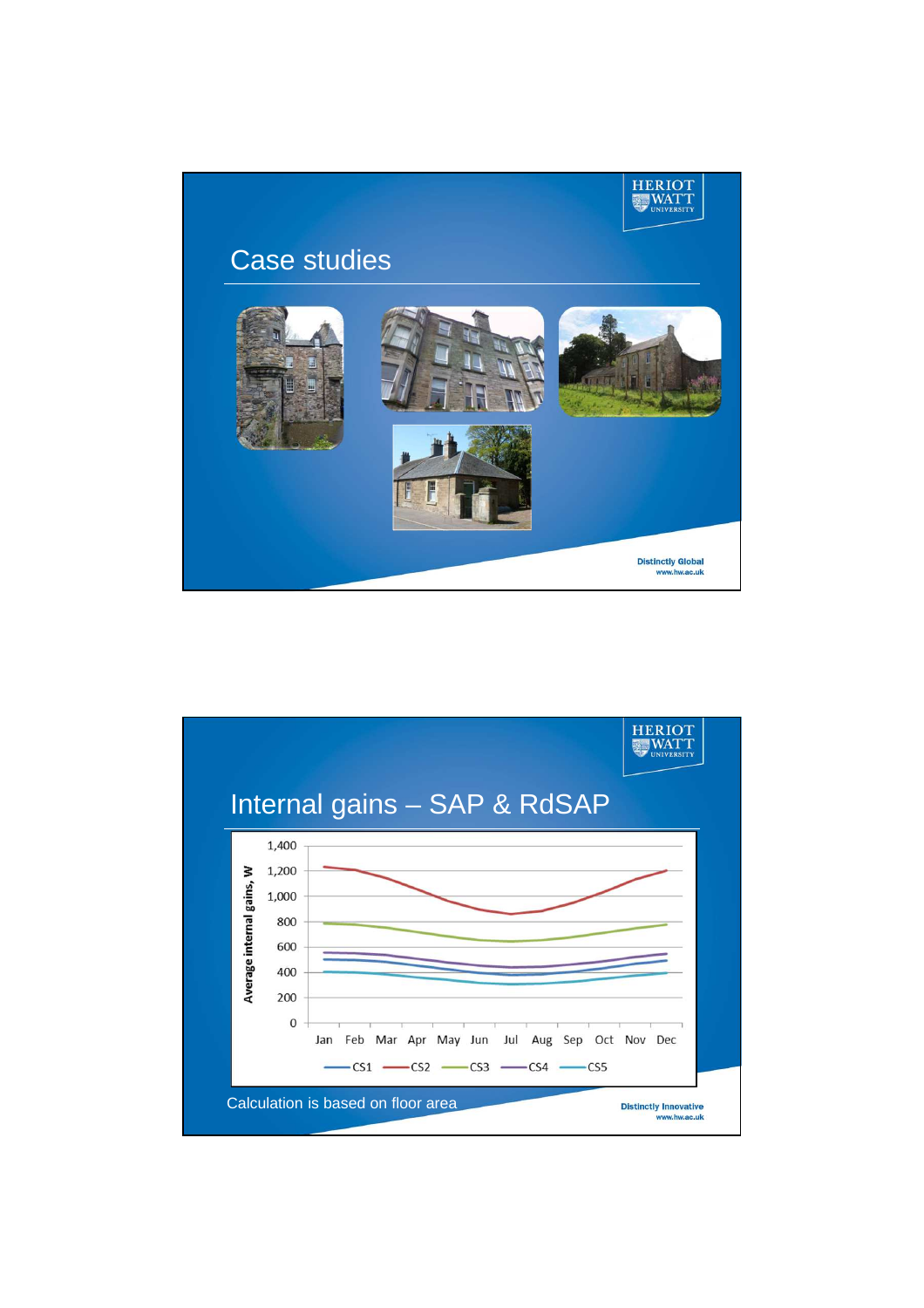

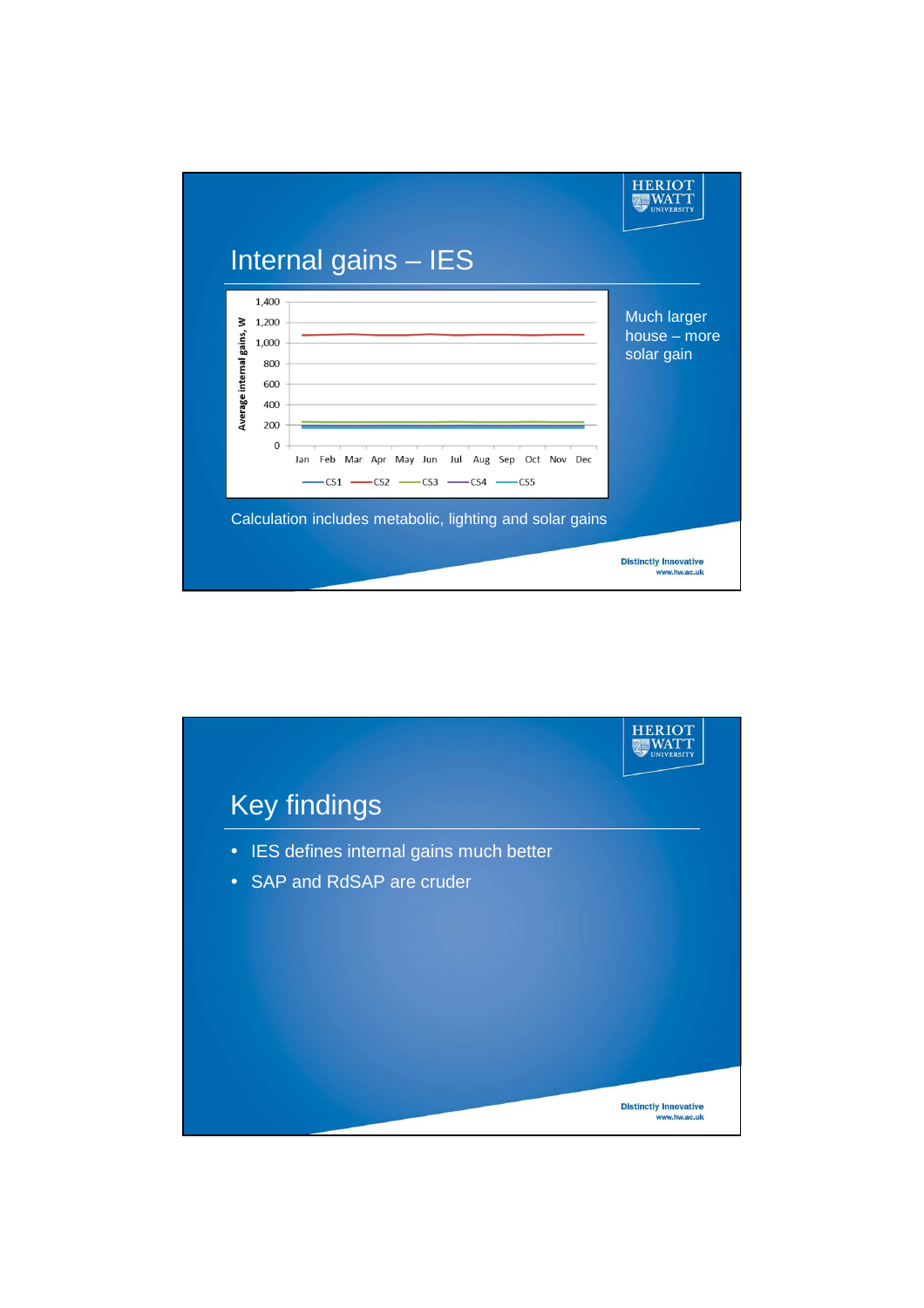

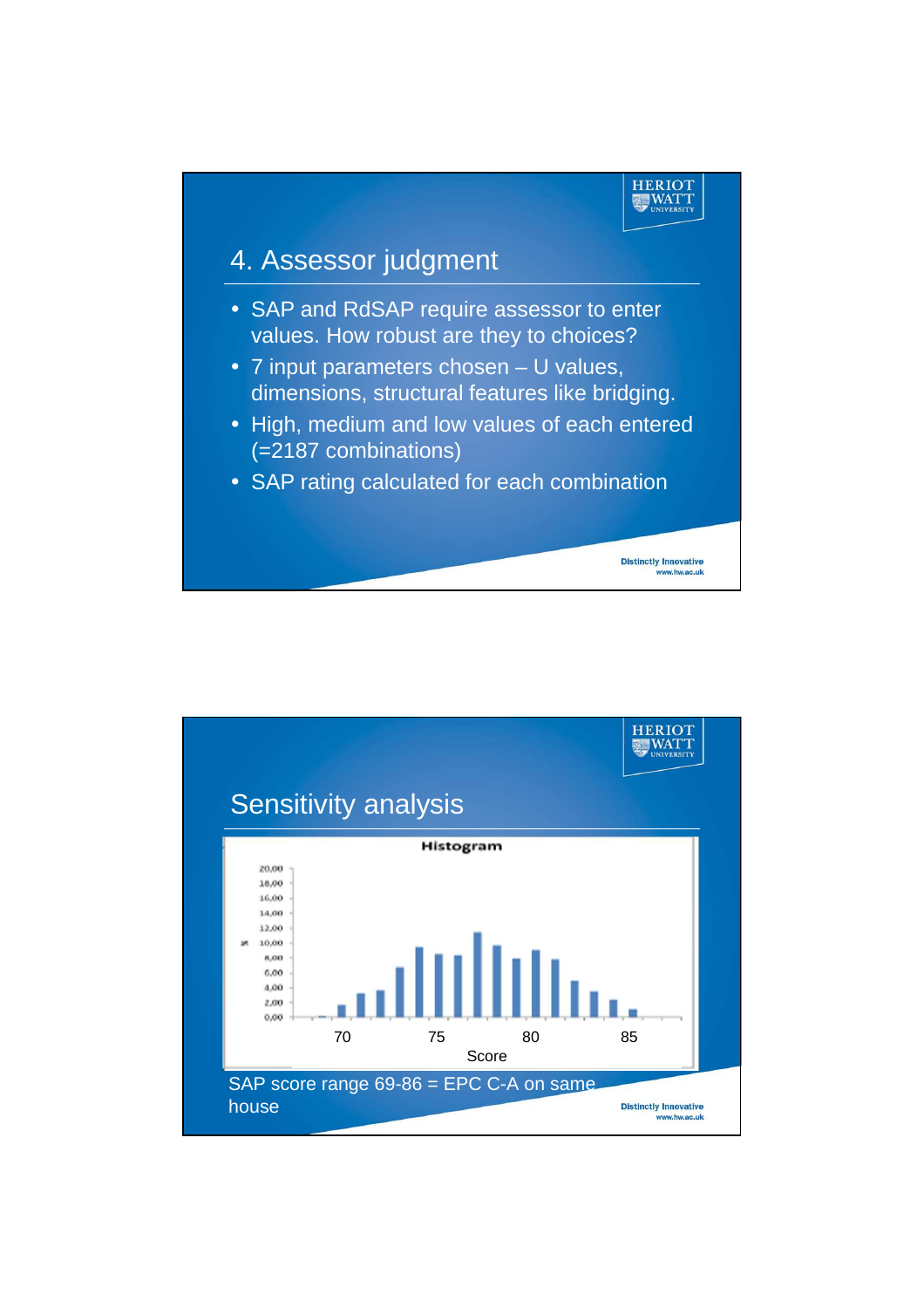

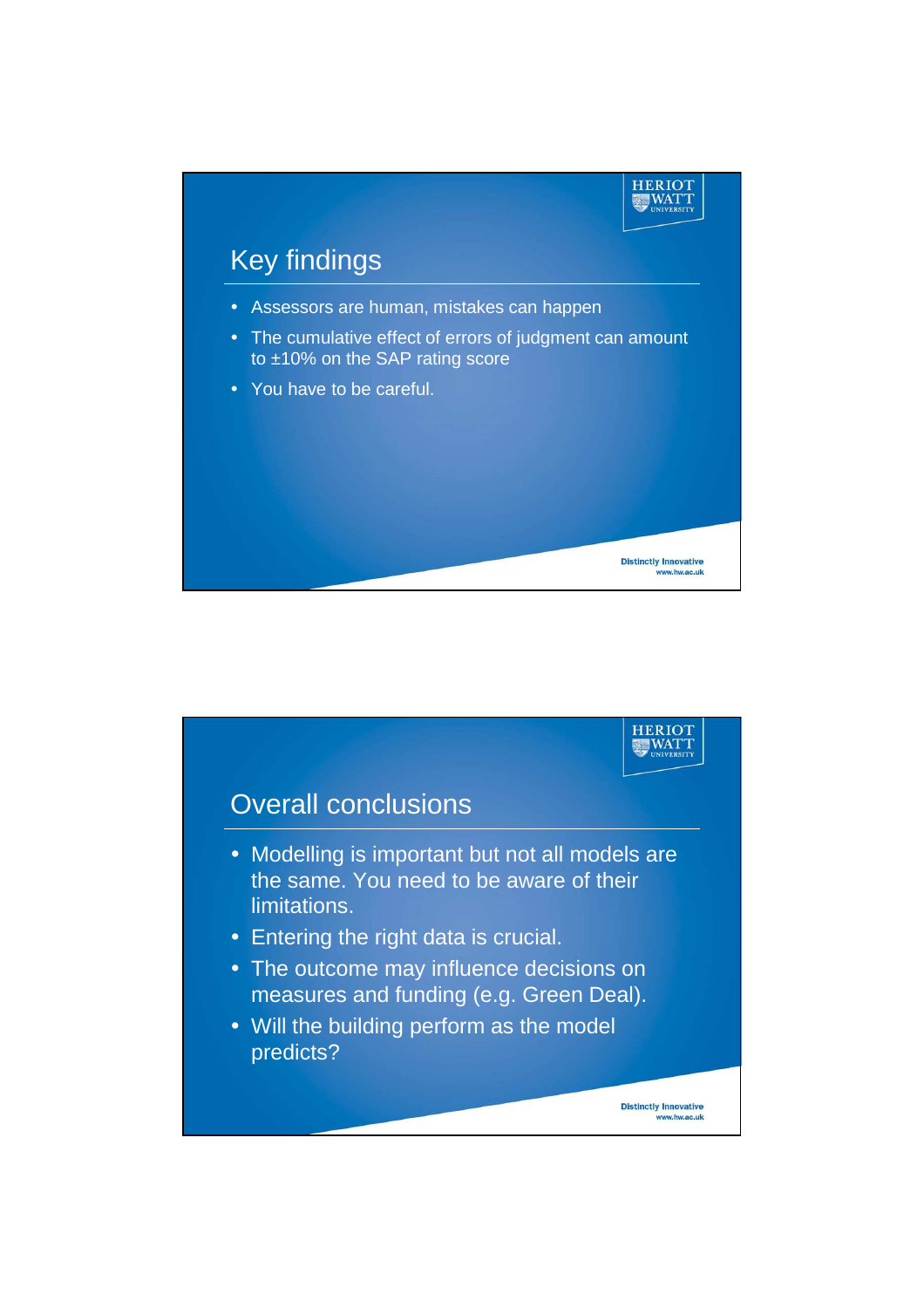